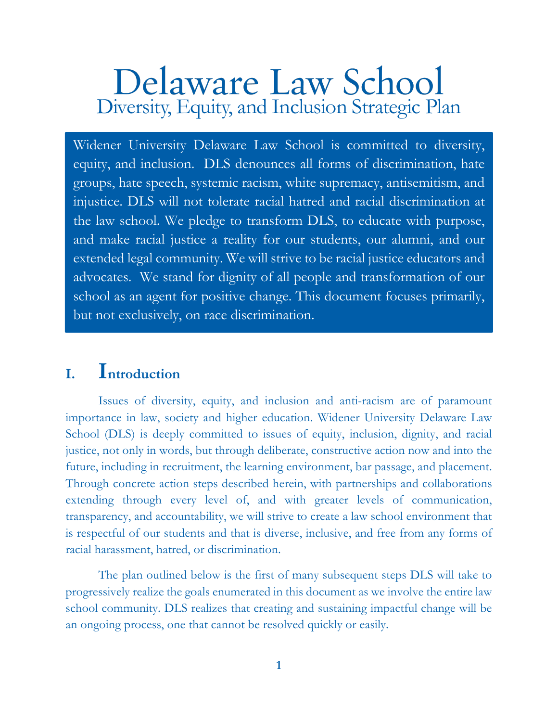# Delaware Law School<br>Diversity, Equity, and Inclusion Strategic Plan

Widener University Delaware Law School is committed to diversity, equity, and inclusion. DLS denounces all forms of discrimination, hate groups, hate speech, systemic racism, white supremacy, antisemitism, and injustice. DLS will not tolerate racial hatred and racial discrimination at the law school. We pledge to transform DLS, to educate with purpose, and make racial justice a reality for our students, our alumni, and our extended legal community. We will strive to be racial justice educators and advocates. We stand for dignity of all people and transformation of our school as an agent for positive change. This document focuses primarily, but not exclusively, on race discrimination.

## **I. Introduction**

Issues of diversity, equity, and inclusion and anti-racism are of paramount importance in law, society and higher education. Widener University Delaware Law School (DLS) is deeply committed to issues of equity, inclusion, dignity, and racial justice, not only in words, but through deliberate, constructive action now and into the future, including in recruitment, the learning environment, bar passage, and placement. Through concrete action steps described herein, with partnerships and collaborations extending through every level of, and with greater levels of communication, transparency, and accountability, we will strive to create a law school environment that is respectful of our students and that is diverse, inclusive, and free from any forms of racial harassment, hatred, or discrimination.

The plan outlined below is the first of many subsequent steps DLS will take to progressively realize the goals enumerated in this document as we involve the entire law school community. DLS realizes that creating and sustaining impactful change will be an ongoing process, one that cannot be resolved quickly or easily.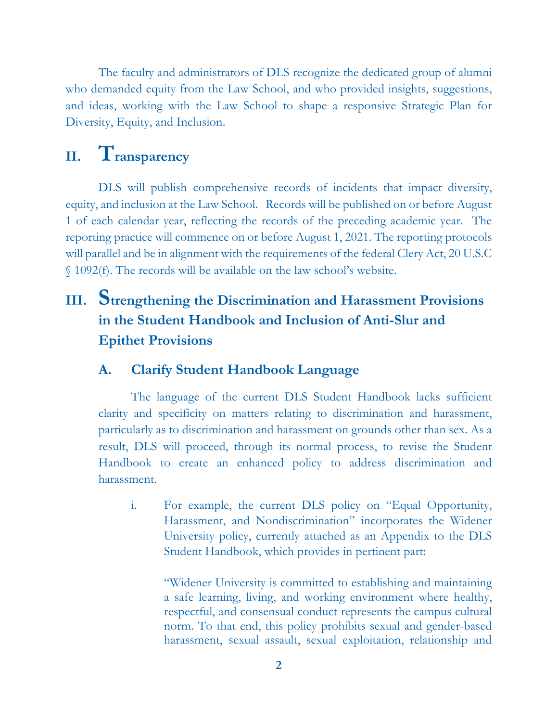The faculty and administrators of DLS recognize the dedicated group of alumni who demanded equity from the Law School, and who provided insights, suggestions, and ideas, working with the Law School to shape a responsive Strategic Plan for Diversity, Equity, and Inclusion.

# **II. Transparency**

DLS will publish comprehensive records of incidents that impact diversity, equity, and inclusion at the Law School. Records will be published on or before August 1 of each calendar year, reflecting the records of the preceding academic year. The reporting practice will commence on or before August 1, 2021. The reporting protocols will parallel and be in alignment with the requirements of the federal Clery Act, 20 U.S.C § 1092(f). The records will be available on the law school's website.

## **III. Strengthening the Discrimination and Harassment Provisions in the Student Handbook and Inclusion of Anti-Slur and Epithet Provisions**

## **A. Clarify Student Handbook Language**

The language of the current DLS Student Handbook lacks sufficient clarity and specificity on matters relating to discrimination and harassment, particularly as to discrimination and harassment on grounds other than sex. As a result, DLS will proceed, through its normal process, to revise the Student Handbook to create an enhanced policy to address discrimination and harassment.

i. For example, the current DLS policy on "Equal Opportunity, Harassment, and Nondiscrimination" incorporates the Widener University policy, currently attached as an Appendix to the DLS Student Handbook, which provides in pertinent part:

"Widener University is committed to establishing and maintaining a safe learning, living, and working environment where healthy, respectful, and consensual conduct represents the campus cultural norm. To that end, this policy prohibits sexual and gender-based harassment, sexual assault, sexual exploitation, relationship and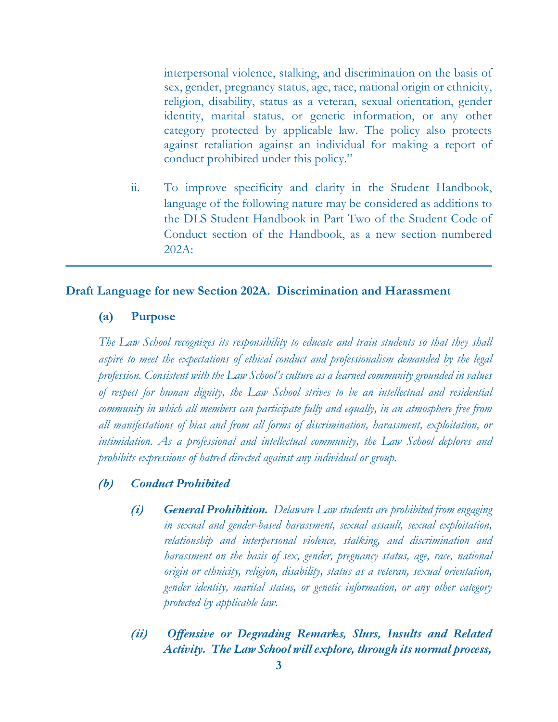interpersonal violence, stalking, and discrimination on the basis of sex, gender, pregnancy status, age, race, national origin or ethnicity, religion, disability, status as a veteran, sexual orientation, gender identity, marital status, or genetic information, or any other category protected by applicable law. The policy also protects against retaliation against an individual for making a report of conduct prohibited under this policy."

ii. To improve specificity and clarity in the Student Handbook, language of the following nature may be considered as additions to the DLS Student Handbook in Part Two of the Student Code of Conduct section of the Handbook, as a new section numbered 202A:

#### **Draft Language for new Section 202A. Discrimination and Harassment**

#### **(a) Purpose**

*The Law School recognizes its responsibility to educate and train students so that they shall aspire to meet the expectations of ethical conduct and professionalism demanded by the legal profession. Consistent with the Law School's culture as a learned community grounded in values of respect for human dignity, the Law School strives to be an intellectual and residential community in which all members can participate fully and equally, in an atmosphere free from all manifestations of bias and from all forms of discrimination, harassment, exploitation, or intimidation. As a professional and intellectual community, the Law School deplores and prohibits expressions of hatred directed against any individual or group.* 

#### *(b) Conduct Prohibited*

- *(i) General Prohibition. Delaware Law students are prohibited from engaging in sexual and gender-based harassment, sexual assault, sexual exploitation, relationship and interpersonal violence, stalking, and discrimination and harassment on the basis of sex, gender, pregnancy status, age, race, national origin or ethnicity, religion, disability, status as a veteran, sexual orientation, gender identity, marital status, or genetic information, or any other category protected by applicable law.*
- *(ii) Offensive or Degrading Remarks, Slurs, Insults and Related Activity. The Law School will explore, through its normal process,*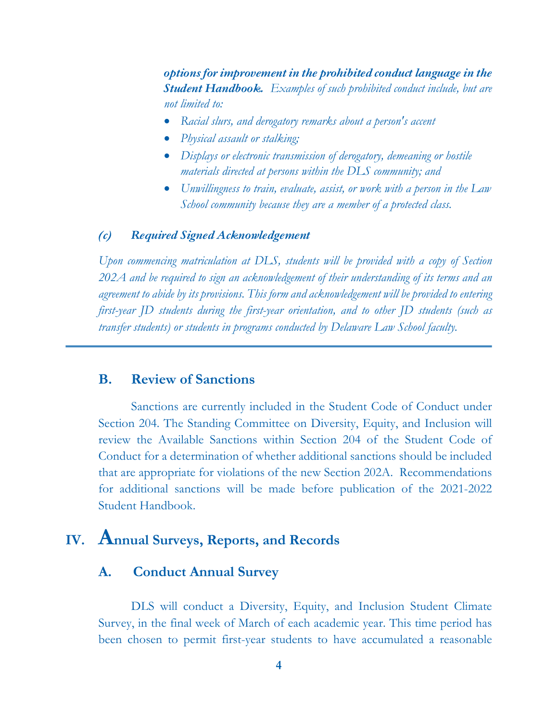*options for improvement in the prohibited conduct language in the Student Handbook. Examples of such prohibited conduct include, but are not limited to:*

- *Racial slurs, and derogatory remarks about a person's accent*
- *Physical assault or stalking;*
- *Displays or electronic transmission of derogatory, demeaning or hostile materials directed at persons within the DLS community; and*
- *Unwillingness to train, evaluate, assist, or work with a person in the Law School community because they are a member of a protected class.*

#### *(c) Required Signed Acknowledgement*

*Upon commencing matriculation at DLS, students will be provided with a copy of Section 202A and be required to sign an acknowledgement of their understanding of its terms and an agreement to abide by its provisions. This form and acknowledgement will be provided to entering first-year JD students during the first-year orientation, and to other JD students (such as transfer students) or students in programs conducted by Delaware Law School faculty.* 

#### **B. Review of Sanctions**

Sanctions are currently included in the Student Code of Conduct under Section 204. The Standing Committee on Diversity, Equity, and Inclusion will review the Available Sanctions within Section 204 of the Student Code of Conduct for a determination of whether additional sanctions should be included that are appropriate for violations of the new Section 202A. Recommendations for additional sanctions will be made before publication of the 2021-2022 Student Handbook.

## **IV. Annual Surveys, Reports, and Records**

## **A. Conduct Annual Survey**

DLS will conduct a Diversity, Equity, and Inclusion Student Climate Survey, in the final week of March of each academic year. This time period has been chosen to permit first-year students to have accumulated a reasonable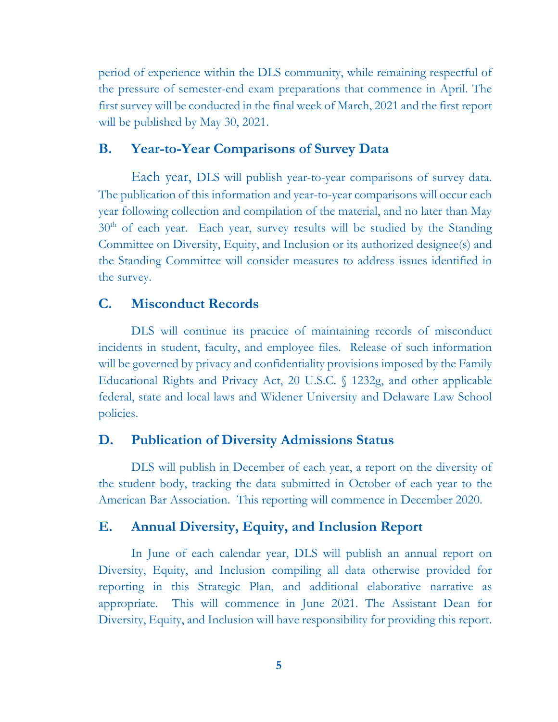period of experience within the DLS community, while remaining respectful of the pressure of semester-end exam preparations that commence in April. The first survey will be conducted in the final week of March, 2021 and the first report will be published by May 30, 2021.

#### **B. Year-to-Year Comparisons of Survey Data**

Each year, DLS will publish year-to-year comparisons of survey data. The publication of this information and year-to-year comparisons will occur each year following collection and compilation of the material, and no later than May  $30<sup>th</sup>$  of each year. Each year, survey results will be studied by the Standing Committee on Diversity, Equity, and Inclusion or its authorized designee(s) and the Standing Committee will consider measures to address issues identified in the survey.

#### **C. Misconduct Records**

DLS will continue its practice of maintaining records of misconduct incidents in student, faculty, and employee files. Release of such information will be governed by privacy and confidentiality provisions imposed by the Family Educational Rights and Privacy Act, 20 U.S.C. § 1232g, and other applicable federal, state and local laws and Widener University and Delaware Law School policies.

#### **D. Publication of Diversity Admissions Status**

DLS will publish in December of each year, a report on the diversity of the student body, tracking the data submitted in October of each year to the American Bar Association. This reporting will commence in December 2020.

## **E. Annual Diversity, Equity, and Inclusion Report**

In June of each calendar year, DLS will publish an annual report on Diversity, Equity, and Inclusion compiling all data otherwise provided for reporting in this Strategic Plan, and additional elaborative narrative as appropriate. This will commence in June 2021. The Assistant Dean for Diversity, Equity, and Inclusion will have responsibility for providing this report.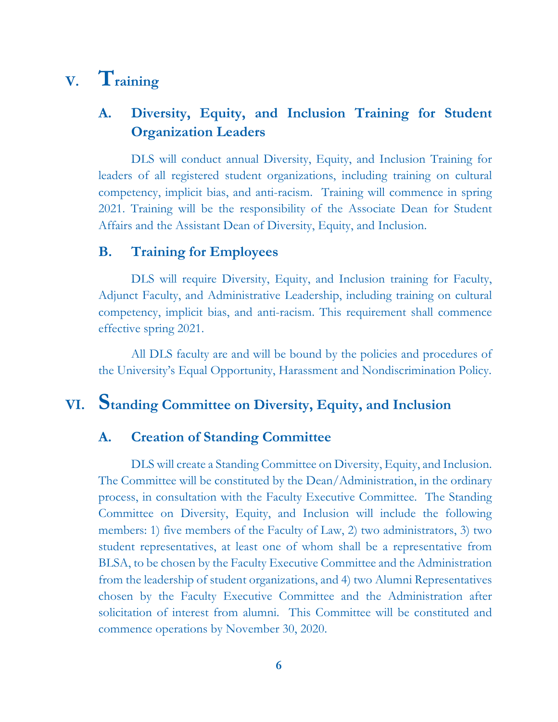# **V. Training**

## **A. Diversity, Equity, and Inclusion Training for Student Organization Leaders**

DLS will conduct annual Diversity, Equity, and Inclusion Training for leaders of all registered student organizations, including training on cultural competency, implicit bias, and anti-racism. Training will commence in spring 2021. Training will be the responsibility of the Associate Dean for Student Affairs and the Assistant Dean of Diversity, Equity, and Inclusion.

## **B. Training for Employees**

DLS will require Diversity, Equity, and Inclusion training for Faculty, Adjunct Faculty, and Administrative Leadership, including training on cultural competency, implicit bias, and anti-racism. This requirement shall commence effective spring 2021.

All DLS faculty are and will be bound by the policies and procedures of the University's Equal Opportunity, Harassment and Nondiscrimination Policy.

## **VI. Standing Committee on Diversity, Equity, and Inclusion**

## **A. Creation of Standing Committee**

DLS will create a Standing Committee on Diversity, Equity, and Inclusion. The Committee will be constituted by the Dean/Administration, in the ordinary process, in consultation with the Faculty Executive Committee. The Standing Committee on Diversity, Equity, and Inclusion will include the following members: 1) five members of the Faculty of Law, 2) two administrators, 3) two student representatives, at least one of whom shall be a representative from BLSA, to be chosen by the Faculty Executive Committee and the Administration from the leadership of student organizations, and 4) two Alumni Representatives chosen by the Faculty Executive Committee and the Administration after solicitation of interest from alumni. This Committee will be constituted and commence operations by November 30, 2020.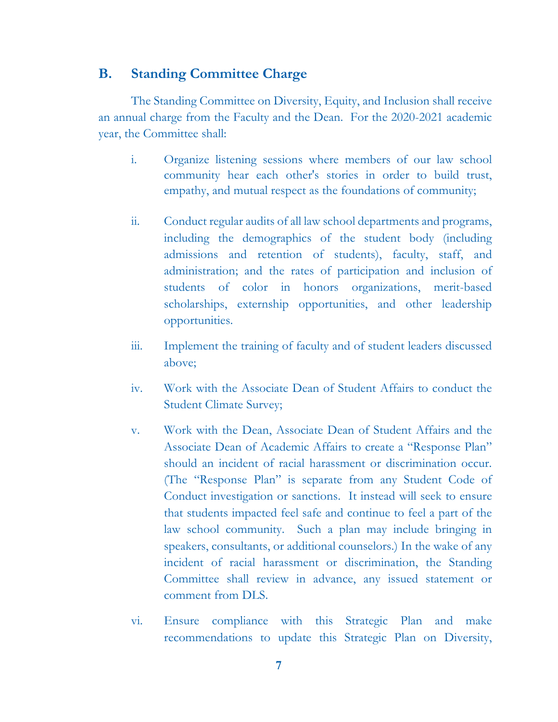### **B. Standing Committee Charge**

The Standing Committee on Diversity, Equity, and Inclusion shall receive an annual charge from the Faculty and the Dean. For the 2020-2021 academic year, the Committee shall:

- i. Organize listening sessions where members of our law school community hear each other's stories in order to build trust, empathy, and mutual respect as the foundations of community;
- ii. Conduct regular audits of all law school departments and programs, including the demographics of the student body (including admissions and retention of students), faculty, staff, and administration; and the rates of participation and inclusion of students of color in honors organizations, merit-based scholarships, externship opportunities, and other leadership opportunities.
- iii. Implement the training of faculty and of student leaders discussed above;
- iv. Work with the Associate Dean of Student Affairs to conduct the Student Climate Survey;
- v. Work with the Dean, Associate Dean of Student Affairs and the Associate Dean of Academic Affairs to create a "Response Plan" should an incident of racial harassment or discrimination occur. (The "Response Plan" is separate from any Student Code of Conduct investigation or sanctions. It instead will seek to ensure that students impacted feel safe and continue to feel a part of the law school community. Such a plan may include bringing in speakers, consultants, or additional counselors.) In the wake of any incident of racial harassment or discrimination, the Standing Committee shall review in advance, any issued statement or comment from DLS.
- vi. Ensure compliance with this Strategic Plan and make recommendations to update this Strategic Plan on Diversity,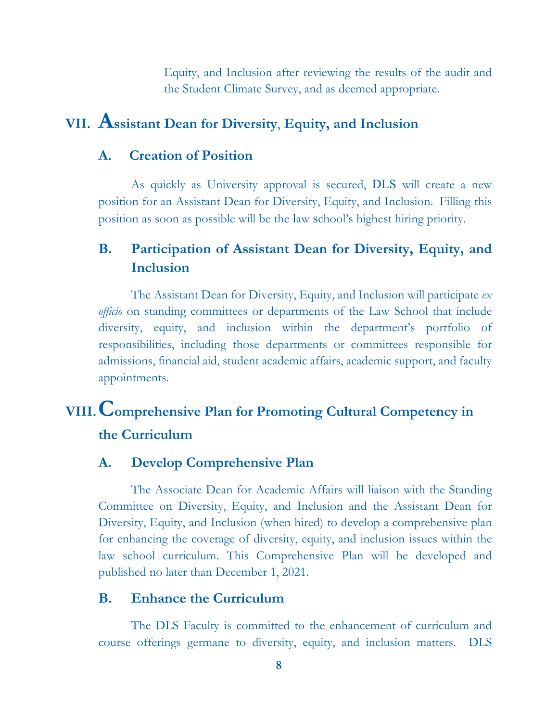Equity, and Inclusion after reviewing the results of the audit and the Student Climate Survey, and as deemed appropriate.

## **VII. Assistant Dean for Diversity**, **Equity, and Inclusion**

#### **A. Creation of Position**

As quickly as University approval is secured, DLS will create a new position for an Assistant Dean for Diversity, Equity, and Inclusion. Filling this position as soon as possible will be the law school's highest hiring priority.

## **B. Participation of Assistant Dean for Diversity, Equity, and Inclusion**

The Assistant Dean for Diversity, Equity, and Inclusion will participate *ex officio* on standing committees or departments of the Law School that include diversity, equity, and inclusion within the department's portfolio of responsibilities, including those departments or committees responsible for admissions, financial aid, student academic affairs, academic support, and faculty appointments.

# **VIII.Comprehensive Plan for Promoting Cultural Competency in the Curriculum**

## **A. Develop Comprehensive Plan**

The Associate Dean for Academic Affairs will liaison with the Standing Committee on Diversity, Equity, and Inclusion and the Assistant Dean for Diversity, Equity, and Inclusion (when hired) to develop a comprehensive plan for enhancing the coverage of diversity, equity, and inclusion issues within the law school curriculum. This Comprehensive Plan will be developed and published no later than December 1, 2021.

## **B. Enhance the Curriculum**

The DLS Faculty is committed to the enhancement of curriculum and course offerings germane to diversity, equity, and inclusion matters. DLS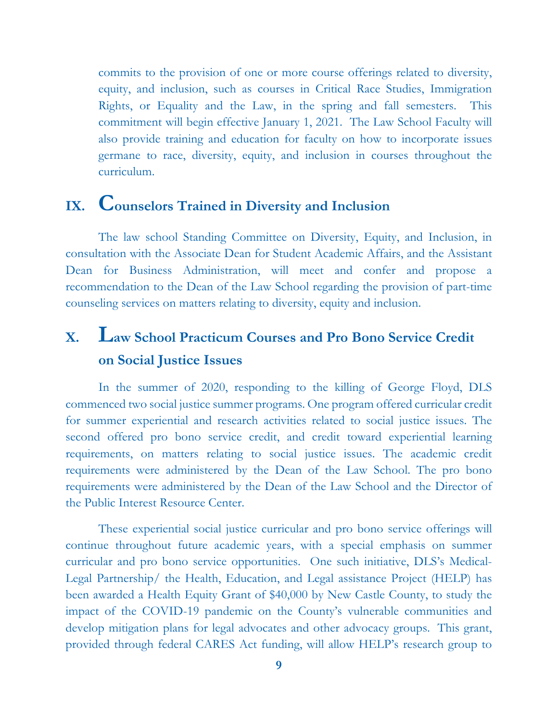commits to the provision of one or more course offerings related to diversity, equity, and inclusion, such as courses in Critical Race Studies, Immigration Rights, or Equality and the Law, in the spring and fall semesters. This commitment will begin effective January 1, 2021. The Law School Faculty will also provide training and education for faculty on how to incorporate issues germane to race, diversity, equity, and inclusion in courses throughout the curriculum.

## **IX. Counselors Trained in Diversity and Inclusion**

The law school Standing Committee on Diversity, Equity, and Inclusion, in consultation with the Associate Dean for Student Academic Affairs, and the Assistant Dean for Business Administration, will meet and confer and propose a recommendation to the Dean of the Law School regarding the provision of part-time counseling services on matters relating to diversity, equity and inclusion.

## **X. Law School Practicum Courses and Pro Bono Service Credit on Social Justice Issues**

In the summer of 2020, responding to the killing of George Floyd, DLS commenced two social justice summer programs. One program offered curricular credit for summer experiential and research activities related to social justice issues. The second offered pro bono service credit, and credit toward experiential learning requirements, on matters relating to social justice issues. The academic credit requirements were administered by the Dean of the Law School. The pro bono requirements were administered by the Dean of the Law School and the Director of the Public Interest Resource Center.

These experiential social justice curricular and pro bono service offerings will continue throughout future academic years, with a special emphasis on summer curricular and pro bono service opportunities. One such initiative, DLS's Medical-Legal Partnership/ the Health, Education, and Legal assistance Project (HELP) has been awarded a Health Equity Grant of \$40,000 by New Castle County, to study the impact of the COVID-19 pandemic on the County's vulnerable communities and develop mitigation plans for legal advocates and other advocacy groups. This grant, provided through federal CARES Act funding, will allow HELP's research group to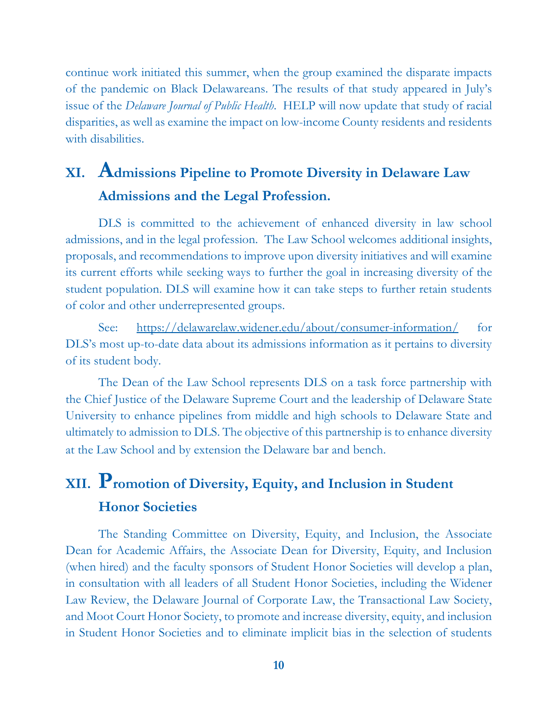continue work initiated this summer, when the group examined the disparate impacts of the pandemic on Black Delawareans. The results of that study appeared in July's issue of the *Delaware Journal of Public Health*. HELP will now update that study of racial disparities, as well as examine the impact on low-income County residents and residents with disabilities.

# **XI. Admissions Pipeline to Promote Diversity in Delaware Law Admissions and the Legal Profession.**

DLS is committed to the achievement of enhanced diversity in law school admissions, and in the legal profession. The Law School welcomes additional insights, proposals, and recommendations to improve upon diversity initiatives and will examine its current efforts while seeking ways to further the goal in increasing diversity of the student population. DLS will examine how it can take steps to further retain students of color and other underrepresented groups.

See: https://delawarelaw.widener.edu/about/consumer-information/ for DLS's most up-to-date data about its admissions information as it pertains to diversity of its student body.

The Dean of the Law School represents DLS on a task force partnership with the Chief Justice of the Delaware Supreme Court and the leadership of Delaware State University to enhance pipelines from middle and high schools to Delaware State and ultimately to admission to DLS. The objective of this partnership is to enhance diversity at the Law School and by extension the Delaware bar and bench.

# **XII. Promotion of Diversity, Equity, and Inclusion in Student Honor Societies**

The Standing Committee on Diversity, Equity, and Inclusion, the Associate Dean for Academic Affairs, the Associate Dean for Diversity, Equity, and Inclusion (when hired) and the faculty sponsors of Student Honor Societies will develop a plan, in consultation with all leaders of all Student Honor Societies, including the Widener Law Review, the Delaware Journal of Corporate Law, the Transactional Law Society, and Moot Court Honor Society, to promote and increase diversity, equity, and inclusion in Student Honor Societies and to eliminate implicit bias in the selection of students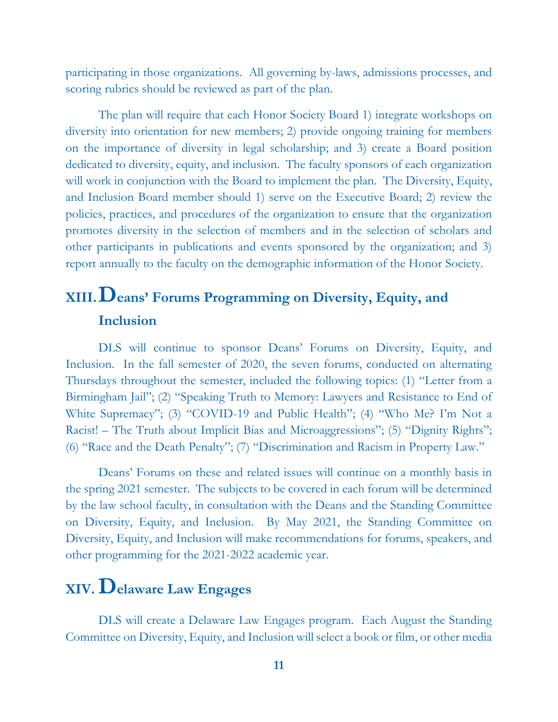participating in those organizations. All governing by-laws, admissions processes, and scoring rubrics should be reviewed as part of the plan.

The plan will require that each Honor Society Board 1) integrate workshops on diversity into orientation for new members; 2) provide ongoing training for members on the importance of diversity in legal scholarship; and 3) create a Board position dedicated to diversity, equity, and inclusion. The faculty sponsors of each organization will work in conjunction with the Board to implement the plan. The Diversity, Equity, and Inclusion Board member should 1) serve on the Executive Board; 2) review the policies, practices, and procedures of the organization to ensure that the organization promotes diversity in the selection of members and in the selection of scholars and other participants in publications and events sponsored by the organization; and 3) report annually to the faculty on the demographic information of the Honor Society.

# **XIII.Deans' Forums Programming on Diversity, Equity, and Inclusion**

DLS will continue to sponsor Deans' Forums on Diversity, Equity, and Inclusion. In the fall semester of 2020, the seven forums, conducted on alternating Thursdays throughout the semester, included the following topics: (1) "Letter from a Birmingham Jail"; (2) "Speaking Truth to Memory: Lawyers and Resistance to End of White Supremacy"; (3) "COVID-19 and Public Health"; (4) "Who Me? I'm Not a Racist! – The Truth about Implicit Bias and Microaggressions"; (5) "Dignity Rights"; (6) "Race and the Death Penalty"; (7) "Discrimination and Racism in Property Law."

Deans' Forums on these and related issues will continue on a monthly basis in the spring 2021 semester. The subjects to be covered in each forum will be determined by the law school faculty, in consultation with the Deans and the Standing Committee on Diversity, Equity, and Inclusion. By May 2021, the Standing Committee on Diversity, Equity, and Inclusion will make recommendations for forums, speakers, and other programming for the 2021-2022 academic year.

# **XIV.Delaware Law Engages**

DLS will create a Delaware Law Engages program. Each August the Standing Committee on Diversity, Equity, and Inclusion will select a book or film, or other media